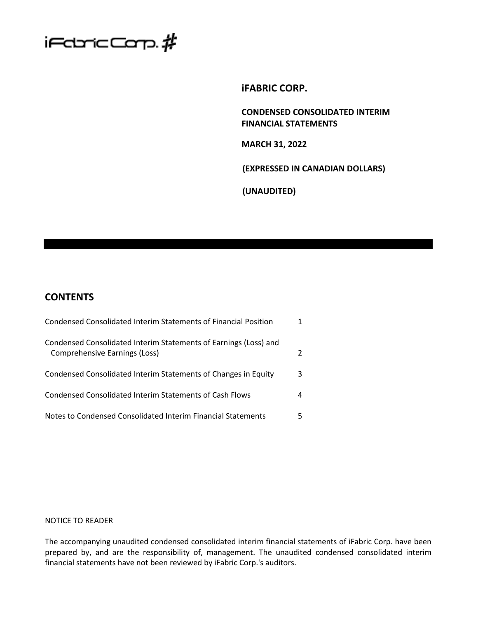

# **iFABRIC CORP.**

**CONDENSED CONSOLIDATED INTERIM FINANCIAL STATEMENTS**

**MARCH 31, 2022**

**(EXPRESSED IN CANADIAN DOLLARS)**

**(UNAUDITED)**

# **CONTENTS**

| Condensed Consolidated Interim Statements of Financial Position                                   |   |
|---------------------------------------------------------------------------------------------------|---|
| Condensed Consolidated Interim Statements of Earnings (Loss) and<br>Comprehensive Earnings (Loss) |   |
| Condensed Consolidated Interim Statements of Changes in Equity                                    | 3 |
| Condensed Consolidated Interim Statements of Cash Flows                                           | 4 |
| Notes to Condensed Consolidated Interim Financial Statements                                      |   |

# NOTICE TO READER

The accompanying unaudited condensed consolidated interim financial statements of iFabric Corp. have been prepared by, and are the responsibility of, management. The unaudited condensed consolidated interim financial statements have not been reviewed by iFabric Corp.'s auditors.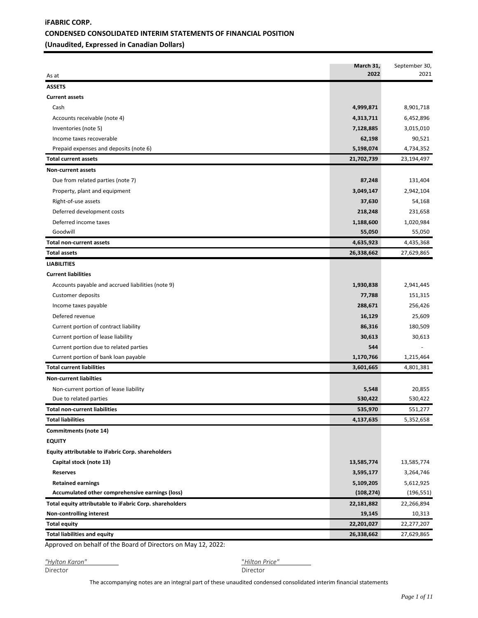# **iFABRIC CORP. CONDENSED CONSOLIDATED INTERIM STATEMENTS OF FINANCIAL POSITION (Unaudited, Expressed in Canadian Dollars)**

| <b>ASSETS</b><br><b>Current assets</b><br>Cash<br>4,999,871<br>8,901,718<br>Accounts receivable (note 4)<br>4,313,711<br>6,452,896<br>Inventories (note 5)<br>7,128,885<br>3,015,010<br>90,521<br>Income taxes recoverable<br>62,198<br>Prepaid expenses and deposits (note 6)<br>5,198,074<br>4,734,352<br>21,702,739<br>23,194,497<br><b>Total current assets</b><br><b>Non-current assets</b><br>Due from related parties (note 7)<br>87,248<br>131,404<br>Property, plant and equipment<br>3,049,147<br>2,942,104<br>Right-of-use assets<br>37,630<br>54,168<br>Deferred development costs<br>218,248<br>231,658<br>Deferred income taxes<br>1,188,600<br>1,020,984<br>55,050<br>Goodwill<br>55,050<br><b>Total non-current assets</b><br>4,635,923<br>4,435,368<br>26,338,662<br>27,629,865<br><b>Total assets</b><br><b>LIABILITIES</b><br><b>Current liabilities</b><br>Accounts payable and accrued liabilities (note 9)<br>1,930,838<br>2,941,445<br><b>Customer deposits</b><br>77,788<br>151,315<br>288,671<br>256,426<br>Income taxes payable<br>Defered revenue<br>16,129<br>25,609<br>Current portion of contract liability<br>86,316<br>180,509<br>Current portion of lease liability<br>30,613<br>30,613<br>Current portion due to related parties<br>544<br>Current portion of bank loan payable<br>1,170,766<br>1,215,464<br><b>Total current liabilities</b><br>3,601,665<br>4,801,381<br><b>Non-current liabilties</b><br>Non-current portion of lease liability<br>5,548<br>20,855<br>530,422<br>530,422<br>Due to related parties<br>Total non-current liabilities<br>535,970<br>551,277<br><b>Total liabilities</b><br>5,352,658<br>4,137,635<br>Commitments (note 14)<br><b>EQUITY</b><br>Equity attributable to iFabric Corp. shareholders<br>Capital stock (note 13)<br>13,585,774<br>13,585,774<br>3,264,746<br><b>Reserves</b><br>3,595,177<br><b>Retained earnings</b><br>5,109,205<br>5,612,925<br>Accumulated other comprehensive earnings (loss)<br>(108, 274)<br>(196, 551)<br>Total equity attributable to iFabric Corp. shareholders<br>22,181,882<br>22,266,894<br>19,145<br>Non-controlling interest<br>10,313<br><b>Total equity</b><br>22,201,027<br>22,277,207<br><b>Total liabilities and equity</b><br>26,338,662<br>27,629,865 | As at | March 31,<br>2022 | September 30,<br>2021 |
|---------------------------------------------------------------------------------------------------------------------------------------------------------------------------------------------------------------------------------------------------------------------------------------------------------------------------------------------------------------------------------------------------------------------------------------------------------------------------------------------------------------------------------------------------------------------------------------------------------------------------------------------------------------------------------------------------------------------------------------------------------------------------------------------------------------------------------------------------------------------------------------------------------------------------------------------------------------------------------------------------------------------------------------------------------------------------------------------------------------------------------------------------------------------------------------------------------------------------------------------------------------------------------------------------------------------------------------------------------------------------------------------------------------------------------------------------------------------------------------------------------------------------------------------------------------------------------------------------------------------------------------------------------------------------------------------------------------------------------------------------------------------------------------------------------------------------------------------------------------------------------------------------------------------------------------------------------------------------------------------------------------------------------------------------------------------------------------------------------------------------------------------------------------------------------------------------------------------------------------------------------------------------|-------|-------------------|-----------------------|
|                                                                                                                                                                                                                                                                                                                                                                                                                                                                                                                                                                                                                                                                                                                                                                                                                                                                                                                                                                                                                                                                                                                                                                                                                                                                                                                                                                                                                                                                                                                                                                                                                                                                                                                                                                                                                                                                                                                                                                                                                                                                                                                                                                                                                                                                           |       |                   |                       |
|                                                                                                                                                                                                                                                                                                                                                                                                                                                                                                                                                                                                                                                                                                                                                                                                                                                                                                                                                                                                                                                                                                                                                                                                                                                                                                                                                                                                                                                                                                                                                                                                                                                                                                                                                                                                                                                                                                                                                                                                                                                                                                                                                                                                                                                                           |       |                   |                       |
|                                                                                                                                                                                                                                                                                                                                                                                                                                                                                                                                                                                                                                                                                                                                                                                                                                                                                                                                                                                                                                                                                                                                                                                                                                                                                                                                                                                                                                                                                                                                                                                                                                                                                                                                                                                                                                                                                                                                                                                                                                                                                                                                                                                                                                                                           |       |                   |                       |
|                                                                                                                                                                                                                                                                                                                                                                                                                                                                                                                                                                                                                                                                                                                                                                                                                                                                                                                                                                                                                                                                                                                                                                                                                                                                                                                                                                                                                                                                                                                                                                                                                                                                                                                                                                                                                                                                                                                                                                                                                                                                                                                                                                                                                                                                           |       |                   |                       |
|                                                                                                                                                                                                                                                                                                                                                                                                                                                                                                                                                                                                                                                                                                                                                                                                                                                                                                                                                                                                                                                                                                                                                                                                                                                                                                                                                                                                                                                                                                                                                                                                                                                                                                                                                                                                                                                                                                                                                                                                                                                                                                                                                                                                                                                                           |       |                   |                       |
|                                                                                                                                                                                                                                                                                                                                                                                                                                                                                                                                                                                                                                                                                                                                                                                                                                                                                                                                                                                                                                                                                                                                                                                                                                                                                                                                                                                                                                                                                                                                                                                                                                                                                                                                                                                                                                                                                                                                                                                                                                                                                                                                                                                                                                                                           |       |                   |                       |
|                                                                                                                                                                                                                                                                                                                                                                                                                                                                                                                                                                                                                                                                                                                                                                                                                                                                                                                                                                                                                                                                                                                                                                                                                                                                                                                                                                                                                                                                                                                                                                                                                                                                                                                                                                                                                                                                                                                                                                                                                                                                                                                                                                                                                                                                           |       |                   |                       |
|                                                                                                                                                                                                                                                                                                                                                                                                                                                                                                                                                                                                                                                                                                                                                                                                                                                                                                                                                                                                                                                                                                                                                                                                                                                                                                                                                                                                                                                                                                                                                                                                                                                                                                                                                                                                                                                                                                                                                                                                                                                                                                                                                                                                                                                                           |       |                   |                       |
|                                                                                                                                                                                                                                                                                                                                                                                                                                                                                                                                                                                                                                                                                                                                                                                                                                                                                                                                                                                                                                                                                                                                                                                                                                                                                                                                                                                                                                                                                                                                                                                                                                                                                                                                                                                                                                                                                                                                                                                                                                                                                                                                                                                                                                                                           |       |                   |                       |
|                                                                                                                                                                                                                                                                                                                                                                                                                                                                                                                                                                                                                                                                                                                                                                                                                                                                                                                                                                                                                                                                                                                                                                                                                                                                                                                                                                                                                                                                                                                                                                                                                                                                                                                                                                                                                                                                                                                                                                                                                                                                                                                                                                                                                                                                           |       |                   |                       |
|                                                                                                                                                                                                                                                                                                                                                                                                                                                                                                                                                                                                                                                                                                                                                                                                                                                                                                                                                                                                                                                                                                                                                                                                                                                                                                                                                                                                                                                                                                                                                                                                                                                                                                                                                                                                                                                                                                                                                                                                                                                                                                                                                                                                                                                                           |       |                   |                       |
|                                                                                                                                                                                                                                                                                                                                                                                                                                                                                                                                                                                                                                                                                                                                                                                                                                                                                                                                                                                                                                                                                                                                                                                                                                                                                                                                                                                                                                                                                                                                                                                                                                                                                                                                                                                                                                                                                                                                                                                                                                                                                                                                                                                                                                                                           |       |                   |                       |
|                                                                                                                                                                                                                                                                                                                                                                                                                                                                                                                                                                                                                                                                                                                                                                                                                                                                                                                                                                                                                                                                                                                                                                                                                                                                                                                                                                                                                                                                                                                                                                                                                                                                                                                                                                                                                                                                                                                                                                                                                                                                                                                                                                                                                                                                           |       |                   |                       |
|                                                                                                                                                                                                                                                                                                                                                                                                                                                                                                                                                                                                                                                                                                                                                                                                                                                                                                                                                                                                                                                                                                                                                                                                                                                                                                                                                                                                                                                                                                                                                                                                                                                                                                                                                                                                                                                                                                                                                                                                                                                                                                                                                                                                                                                                           |       |                   |                       |
|                                                                                                                                                                                                                                                                                                                                                                                                                                                                                                                                                                                                                                                                                                                                                                                                                                                                                                                                                                                                                                                                                                                                                                                                                                                                                                                                                                                                                                                                                                                                                                                                                                                                                                                                                                                                                                                                                                                                                                                                                                                                                                                                                                                                                                                                           |       |                   |                       |
|                                                                                                                                                                                                                                                                                                                                                                                                                                                                                                                                                                                                                                                                                                                                                                                                                                                                                                                                                                                                                                                                                                                                                                                                                                                                                                                                                                                                                                                                                                                                                                                                                                                                                                                                                                                                                                                                                                                                                                                                                                                                                                                                                                                                                                                                           |       |                   |                       |
|                                                                                                                                                                                                                                                                                                                                                                                                                                                                                                                                                                                                                                                                                                                                                                                                                                                                                                                                                                                                                                                                                                                                                                                                                                                                                                                                                                                                                                                                                                                                                                                                                                                                                                                                                                                                                                                                                                                                                                                                                                                                                                                                                                                                                                                                           |       |                   |                       |
|                                                                                                                                                                                                                                                                                                                                                                                                                                                                                                                                                                                                                                                                                                                                                                                                                                                                                                                                                                                                                                                                                                                                                                                                                                                                                                                                                                                                                                                                                                                                                                                                                                                                                                                                                                                                                                                                                                                                                                                                                                                                                                                                                                                                                                                                           |       |                   |                       |
|                                                                                                                                                                                                                                                                                                                                                                                                                                                                                                                                                                                                                                                                                                                                                                                                                                                                                                                                                                                                                                                                                                                                                                                                                                                                                                                                                                                                                                                                                                                                                                                                                                                                                                                                                                                                                                                                                                                                                                                                                                                                                                                                                                                                                                                                           |       |                   |                       |
|                                                                                                                                                                                                                                                                                                                                                                                                                                                                                                                                                                                                                                                                                                                                                                                                                                                                                                                                                                                                                                                                                                                                                                                                                                                                                                                                                                                                                                                                                                                                                                                                                                                                                                                                                                                                                                                                                                                                                                                                                                                                                                                                                                                                                                                                           |       |                   |                       |
|                                                                                                                                                                                                                                                                                                                                                                                                                                                                                                                                                                                                                                                                                                                                                                                                                                                                                                                                                                                                                                                                                                                                                                                                                                                                                                                                                                                                                                                                                                                                                                                                                                                                                                                                                                                                                                                                                                                                                                                                                                                                                                                                                                                                                                                                           |       |                   |                       |
|                                                                                                                                                                                                                                                                                                                                                                                                                                                                                                                                                                                                                                                                                                                                                                                                                                                                                                                                                                                                                                                                                                                                                                                                                                                                                                                                                                                                                                                                                                                                                                                                                                                                                                                                                                                                                                                                                                                                                                                                                                                                                                                                                                                                                                                                           |       |                   |                       |
|                                                                                                                                                                                                                                                                                                                                                                                                                                                                                                                                                                                                                                                                                                                                                                                                                                                                                                                                                                                                                                                                                                                                                                                                                                                                                                                                                                                                                                                                                                                                                                                                                                                                                                                                                                                                                                                                                                                                                                                                                                                                                                                                                                                                                                                                           |       |                   |                       |
|                                                                                                                                                                                                                                                                                                                                                                                                                                                                                                                                                                                                                                                                                                                                                                                                                                                                                                                                                                                                                                                                                                                                                                                                                                                                                                                                                                                                                                                                                                                                                                                                                                                                                                                                                                                                                                                                                                                                                                                                                                                                                                                                                                                                                                                                           |       |                   |                       |
|                                                                                                                                                                                                                                                                                                                                                                                                                                                                                                                                                                                                                                                                                                                                                                                                                                                                                                                                                                                                                                                                                                                                                                                                                                                                                                                                                                                                                                                                                                                                                                                                                                                                                                                                                                                                                                                                                                                                                                                                                                                                                                                                                                                                                                                                           |       |                   |                       |
|                                                                                                                                                                                                                                                                                                                                                                                                                                                                                                                                                                                                                                                                                                                                                                                                                                                                                                                                                                                                                                                                                                                                                                                                                                                                                                                                                                                                                                                                                                                                                                                                                                                                                                                                                                                                                                                                                                                                                                                                                                                                                                                                                                                                                                                                           |       |                   |                       |
|                                                                                                                                                                                                                                                                                                                                                                                                                                                                                                                                                                                                                                                                                                                                                                                                                                                                                                                                                                                                                                                                                                                                                                                                                                                                                                                                                                                                                                                                                                                                                                                                                                                                                                                                                                                                                                                                                                                                                                                                                                                                                                                                                                                                                                                                           |       |                   |                       |
|                                                                                                                                                                                                                                                                                                                                                                                                                                                                                                                                                                                                                                                                                                                                                                                                                                                                                                                                                                                                                                                                                                                                                                                                                                                                                                                                                                                                                                                                                                                                                                                                                                                                                                                                                                                                                                                                                                                                                                                                                                                                                                                                                                                                                                                                           |       |                   |                       |
|                                                                                                                                                                                                                                                                                                                                                                                                                                                                                                                                                                                                                                                                                                                                                                                                                                                                                                                                                                                                                                                                                                                                                                                                                                                                                                                                                                                                                                                                                                                                                                                                                                                                                                                                                                                                                                                                                                                                                                                                                                                                                                                                                                                                                                                                           |       |                   |                       |
|                                                                                                                                                                                                                                                                                                                                                                                                                                                                                                                                                                                                                                                                                                                                                                                                                                                                                                                                                                                                                                                                                                                                                                                                                                                                                                                                                                                                                                                                                                                                                                                                                                                                                                                                                                                                                                                                                                                                                                                                                                                                                                                                                                                                                                                                           |       |                   |                       |
|                                                                                                                                                                                                                                                                                                                                                                                                                                                                                                                                                                                                                                                                                                                                                                                                                                                                                                                                                                                                                                                                                                                                                                                                                                                                                                                                                                                                                                                                                                                                                                                                                                                                                                                                                                                                                                                                                                                                                                                                                                                                                                                                                                                                                                                                           |       |                   |                       |
|                                                                                                                                                                                                                                                                                                                                                                                                                                                                                                                                                                                                                                                                                                                                                                                                                                                                                                                                                                                                                                                                                                                                                                                                                                                                                                                                                                                                                                                                                                                                                                                                                                                                                                                                                                                                                                                                                                                                                                                                                                                                                                                                                                                                                                                                           |       |                   |                       |
|                                                                                                                                                                                                                                                                                                                                                                                                                                                                                                                                                                                                                                                                                                                                                                                                                                                                                                                                                                                                                                                                                                                                                                                                                                                                                                                                                                                                                                                                                                                                                                                                                                                                                                                                                                                                                                                                                                                                                                                                                                                                                                                                                                                                                                                                           |       |                   |                       |
|                                                                                                                                                                                                                                                                                                                                                                                                                                                                                                                                                                                                                                                                                                                                                                                                                                                                                                                                                                                                                                                                                                                                                                                                                                                                                                                                                                                                                                                                                                                                                                                                                                                                                                                                                                                                                                                                                                                                                                                                                                                                                                                                                                                                                                                                           |       |                   |                       |
|                                                                                                                                                                                                                                                                                                                                                                                                                                                                                                                                                                                                                                                                                                                                                                                                                                                                                                                                                                                                                                                                                                                                                                                                                                                                                                                                                                                                                                                                                                                                                                                                                                                                                                                                                                                                                                                                                                                                                                                                                                                                                                                                                                                                                                                                           |       |                   |                       |
|                                                                                                                                                                                                                                                                                                                                                                                                                                                                                                                                                                                                                                                                                                                                                                                                                                                                                                                                                                                                                                                                                                                                                                                                                                                                                                                                                                                                                                                                                                                                                                                                                                                                                                                                                                                                                                                                                                                                                                                                                                                                                                                                                                                                                                                                           |       |                   |                       |
|                                                                                                                                                                                                                                                                                                                                                                                                                                                                                                                                                                                                                                                                                                                                                                                                                                                                                                                                                                                                                                                                                                                                                                                                                                                                                                                                                                                                                                                                                                                                                                                                                                                                                                                                                                                                                                                                                                                                                                                                                                                                                                                                                                                                                                                                           |       |                   |                       |
|                                                                                                                                                                                                                                                                                                                                                                                                                                                                                                                                                                                                                                                                                                                                                                                                                                                                                                                                                                                                                                                                                                                                                                                                                                                                                                                                                                                                                                                                                                                                                                                                                                                                                                                                                                                                                                                                                                                                                                                                                                                                                                                                                                                                                                                                           |       |                   |                       |
|                                                                                                                                                                                                                                                                                                                                                                                                                                                                                                                                                                                                                                                                                                                                                                                                                                                                                                                                                                                                                                                                                                                                                                                                                                                                                                                                                                                                                                                                                                                                                                                                                                                                                                                                                                                                                                                                                                                                                                                                                                                                                                                                                                                                                                                                           |       |                   |                       |
|                                                                                                                                                                                                                                                                                                                                                                                                                                                                                                                                                                                                                                                                                                                                                                                                                                                                                                                                                                                                                                                                                                                                                                                                                                                                                                                                                                                                                                                                                                                                                                                                                                                                                                                                                                                                                                                                                                                                                                                                                                                                                                                                                                                                                                                                           |       |                   |                       |
|                                                                                                                                                                                                                                                                                                                                                                                                                                                                                                                                                                                                                                                                                                                                                                                                                                                                                                                                                                                                                                                                                                                                                                                                                                                                                                                                                                                                                                                                                                                                                                                                                                                                                                                                                                                                                                                                                                                                                                                                                                                                                                                                                                                                                                                                           |       |                   |                       |
|                                                                                                                                                                                                                                                                                                                                                                                                                                                                                                                                                                                                                                                                                                                                                                                                                                                                                                                                                                                                                                                                                                                                                                                                                                                                                                                                                                                                                                                                                                                                                                                                                                                                                                                                                                                                                                                                                                                                                                                                                                                                                                                                                                                                                                                                           |       |                   |                       |
|                                                                                                                                                                                                                                                                                                                                                                                                                                                                                                                                                                                                                                                                                                                                                                                                                                                                                                                                                                                                                                                                                                                                                                                                                                                                                                                                                                                                                                                                                                                                                                                                                                                                                                                                                                                                                                                                                                                                                                                                                                                                                                                                                                                                                                                                           |       |                   |                       |
|                                                                                                                                                                                                                                                                                                                                                                                                                                                                                                                                                                                                                                                                                                                                                                                                                                                                                                                                                                                                                                                                                                                                                                                                                                                                                                                                                                                                                                                                                                                                                                                                                                                                                                                                                                                                                                                                                                                                                                                                                                                                                                                                                                                                                                                                           |       |                   |                       |

Approved on behalf of the Board of Directors on May 12, 2022:

*"Hylton Karon"* "*Hilton Price"* 

Director Director

The accompanying notes are an integral part of these unaudited condensed consolidated interim financial statements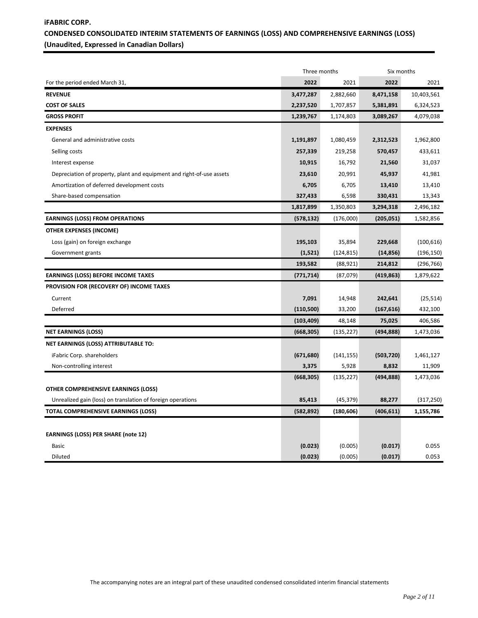# **iFABRIC CORP. CONDENSED CONSOLIDATED INTERIM STATEMENTS OF EARNINGS (LOSS) AND COMPREHENSIVE EARNINGS (LOSS) (Unaudited, Expressed in Canadian Dollars)**

|                                                                       | Three months |            | Six months |            |
|-----------------------------------------------------------------------|--------------|------------|------------|------------|
| For the period ended March 31,                                        | 2022         | 2021       | 2022       | 2021       |
| <b>REVENUE</b>                                                        | 3,477,287    | 2,882,660  | 8,471,158  | 10,403,561 |
| <b>COST OF SALES</b>                                                  | 2,237,520    | 1,707,857  | 5,381,891  | 6,324,523  |
| <b>GROSS PROFIT</b>                                                   | 1,239,767    | 1,174,803  | 3,089,267  | 4,079,038  |
| <b>EXPENSES</b>                                                       |              |            |            |            |
| General and administrative costs                                      | 1,191,897    | 1,080,459  | 2,312,523  | 1,962,800  |
| Selling costs                                                         | 257,339      | 219,258    | 570,457    | 433,611    |
| Interest expense                                                      | 10,915       | 16,792     | 21,560     | 31,037     |
| Depreciation of property, plant and equipment and right-of-use assets | 23,610       | 20,991     | 45,937     | 41,981     |
| Amortization of deferred development costs                            | 6,705        | 6,705      | 13,410     | 13,410     |
| Share-based compensation                                              | 327,433      | 6,598      | 330,431    | 13,343     |
|                                                                       | 1,817,899    | 1,350,803  | 3,294,318  | 2,496,182  |
| <b>EARNINGS (LOSS) FROM OPERATIONS</b>                                | (578, 132)   | (176,000)  | (205, 051) | 1,582,856  |
| <b>OTHER EXPENSES (INCOME)</b>                                        |              |            |            |            |
| Loss (gain) on foreign exchange                                       | 195,103      | 35,894     | 229,668    | (100, 616) |
| Government grants                                                     | (1,521)      | (124, 815) | (14, 856)  | (196, 150) |
|                                                                       | 193,582      | (88, 921)  | 214,812    | (296, 766) |
| <b>EARNINGS (LOSS) BEFORE INCOME TAXES</b>                            | (771, 714)   | (87,079)   | (419, 863) | 1,879,622  |
| PROVISION FOR (RECOVERY OF) INCOME TAXES                              |              |            |            |            |
| Current                                                               | 7,091        | 14,948     | 242,641    | (25, 514)  |
| Deferred                                                              | (110, 500)   | 33,200     | (167, 616) | 432,100    |
|                                                                       | (103, 409)   | 48,148     | 75,025     | 406,586    |
| <b>NET EARNINGS (LOSS)</b>                                            | (668, 305)   | (135, 227) | (494, 888) | 1,473,036  |
| NET EARNINGS (LOSS) ATTRIBUTABLE TO:                                  |              |            |            |            |
| iFabric Corp. shareholders                                            | (671, 680)   | (141, 155) | (503, 720) | 1,461,127  |
| Non-controlling interest                                              | 3,375        | 5,928      | 8,832      | 11,909     |
|                                                                       | (668, 305)   | (135, 227) | (494, 888) | 1,473,036  |
| <b>OTHER COMPREHENSIVE EARNINGS (LOSS)</b>                            |              |            |            |            |
| Unrealized gain (loss) on translation of foreign operations           | 85,413       | (45, 379)  | 88,277     | (317, 250) |
| <b>TOTAL COMPREHENSIVE EARNINGS (LOSS)</b>                            | (582, 892)   | (180, 606) | (406, 611) | 1,155,786  |
|                                                                       |              |            |            |            |
| <b>EARNINGS (LOSS) PER SHARE (note 12)</b>                            |              |            |            |            |
| <b>Basic</b>                                                          | (0.023)      | (0.005)    | (0.017)    | 0.055      |
| Diluted                                                               | (0.023)      | (0.005)    | (0.017)    | 0.053      |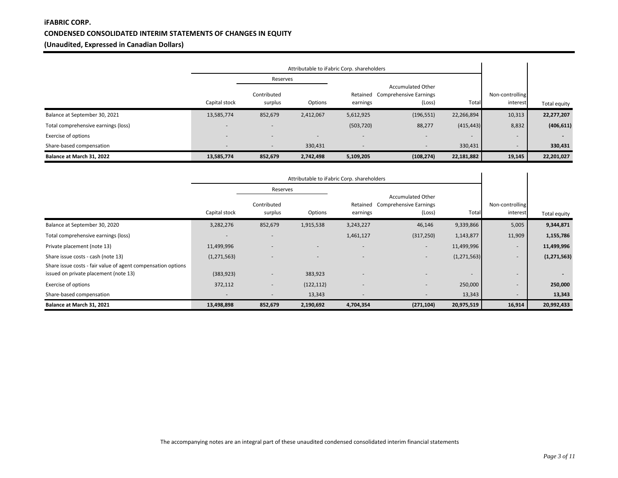# **iFABRIC CORP. CONDENSED CONSOLIDATED INTERIM STATEMENTS OF CHANGES IN EQUITY (Unaudited, Expressed in Canadian Dollars)**

|                                     | Attributable to iFabric Corp. shareholders |                          |                          |                          |                                                                     |                          |                             |                          |
|-------------------------------------|--------------------------------------------|--------------------------|--------------------------|--------------------------|---------------------------------------------------------------------|--------------------------|-----------------------------|--------------------------|
|                                     |                                            | Reserves                 |                          |                          |                                                                     |                          |                             |                          |
|                                     | Capital stock                              | Contributed<br>surplus   | Options                  | Retained<br>earnings     | <b>Accumulated Other</b><br><b>Comprehensive Earnings</b><br>(Loss) | Total                    | Non-controlling<br>interest | Total equity             |
| Balance at September 30, 2021       | 13,585,774                                 | 852,679                  | 2,412,067                | 5,612,925                | (196, 551)                                                          | 22,266,894               | 10,313                      | 22,277,207               |
| Total comprehensive earnings (loss) |                                            | $\overline{\phantom{a}}$ |                          | (503, 720)               | 88,277                                                              | (415, 443)               | 8,832                       | (406, 611)               |
| Exercise of options                 | $\overline{\phantom{a}}$                   | $\overline{\phantom{a}}$ | $\overline{\phantom{a}}$ | $\overline{\phantom{a}}$ | $\sim$                                                              | $\overline{\phantom{a}}$ | -                           | $\overline{\phantom{0}}$ |
| Share-based compensation            |                                            | $\overline{\phantom{a}}$ | 330,431                  | $\overline{\phantom{a}}$ | $\overline{\phantom{a}}$                                            | 330,431                  |                             | 330,431                  |
| Balance at March 31, 2022           | 13,585,774                                 | 852,679                  | 2,742,498                | 5,109,205                | (108, 274)                                                          | 22,181,882               | 19,145                      | 22,201,027               |

|                                                              | Attributable to iFabric Corp. shareholders |                        |                |                          |                                                                     |                          |                             |               |
|--------------------------------------------------------------|--------------------------------------------|------------------------|----------------|--------------------------|---------------------------------------------------------------------|--------------------------|-----------------------------|---------------|
|                                                              |                                            | Reserves               |                |                          |                                                                     |                          |                             |               |
|                                                              | Capital stock                              | Contributed<br>surplus | Options        | Retained<br>earnings     | <b>Accumulated Other</b><br><b>Comprehensive Earnings</b><br>(Loss) | Total                    | Non-controlling<br>interest | Total equity  |
| Balance at September 30, 2020                                | 3,282,276                                  | 852,679                | 1,915,538      | 3,243,227                | 46,146                                                              | 9,339,866                | 5,005                       | 9,344,871     |
| Total comprehensive earnings (loss)                          |                                            | $\overline{a}$         |                | 1,461,127                | (317, 250)                                                          | 1,143,877                | 11,909                      | 1,155,786     |
| Private placement (note 13)                                  | 11,499,996                                 |                        |                | $\overline{\phantom{a}}$ | $\overline{\phantom{a}}$                                            | 11,499,996               | $\sim$                      | 11,499,996    |
| Share issue costs - cash (note 13)                           | (1, 271, 563)                              |                        | $\overline{a}$ | $\overline{\phantom{a}}$ | $\overline{\phantom{a}}$                                            | (1, 271, 563)            | $\overline{\phantom{a}}$    | (1, 271, 563) |
| Share issue costs - fair value of agent compensation options |                                            |                        |                |                          |                                                                     |                          |                             |               |
| issued on private placement (note 13)                        | (383, 923)                                 |                        | 383,923        | $\overline{a}$           | $\overline{\phantom{a}}$                                            | $\overline{\phantom{a}}$ | $\overline{\phantom{a}}$    |               |
| Exercise of options                                          | 372,112                                    |                        | (122, 112)     | $\overline{\phantom{a}}$ | $\overline{\phantom{a}}$                                            | 250,000                  | $\overline{\phantom{a}}$    | 250,000       |
| Share-based compensation                                     |                                            |                        | 13,343         |                          | $\overline{\phantom{a}}$                                            | 13,343                   |                             | 13,343        |
| Balance at March 31, 2021                                    | 13,498,898                                 | 852,679                | 2,190,692      | 4,704,354                | (271, 104)                                                          | 20,975,519               | 16,914                      | 20,992,433    |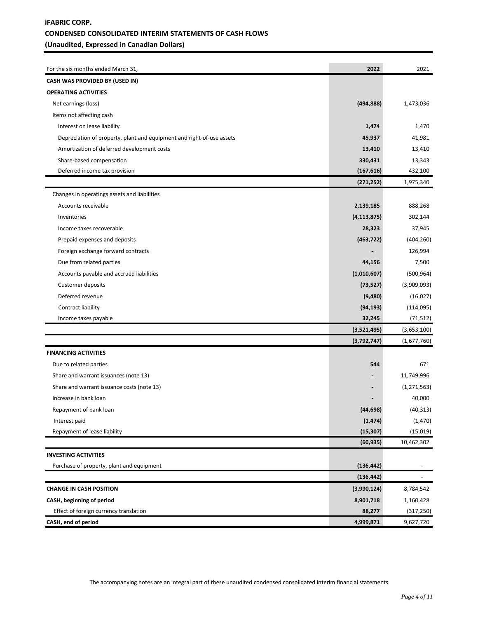# **iFABRIC CORP. CONDENSED CONSOLIDATED INTERIM STATEMENTS OF CASH FLOWS (Unaudited, Expressed in Canadian Dollars)**

| For the six months ended March 31,                                    | 2022          | 2021          |
|-----------------------------------------------------------------------|---------------|---------------|
| CASH WAS PROVIDED BY (USED IN)                                        |               |               |
| <b>OPERATING ACTIVITIES</b>                                           |               |               |
| Net earnings (loss)                                                   | (494, 888)    | 1,473,036     |
| Items not affecting cash                                              |               |               |
| Interest on lease liability                                           | 1,474         | 1,470         |
| Depreciation of property, plant and equipment and right-of-use assets | 45,937        | 41,981        |
| Amortization of deferred development costs                            | 13,410        | 13,410        |
| Share-based compensation                                              | 330,431       | 13,343        |
| Deferred income tax provision                                         | (167, 616)    | 432,100       |
|                                                                       | (271, 252)    | 1,975,340     |
| Changes in operatings assets and liabilities                          |               |               |
| Accounts receivable                                                   | 2,139,185     | 888,268       |
| Inventories                                                           | (4, 113, 875) | 302,144       |
| Income taxes recoverable                                              | 28,323        | 37,945        |
| Prepaid expenses and deposits                                         | (463, 722)    | (404, 260)    |
| Foreign exchange forward contracts                                    |               | 126,994       |
| Due from related parties                                              | 44,156        | 7,500         |
| Accounts payable and accrued liabilities                              | (1,010,607)   | (500, 964)    |
| Customer deposits                                                     | (73, 527)     | (3,909,093)   |
| Deferred revenue                                                      | (9,480)       | (16, 027)     |
| Contract liability                                                    | (94, 193)     | (114,095)     |
| Income taxes payable                                                  | 32,245        | (71, 512)     |
|                                                                       | (3,521,495)   | (3,653,100)   |
|                                                                       | (3,792,747)   | (1,677,760)   |
| <b>FINANCING ACTIVITIES</b>                                           |               |               |
| Due to related parties                                                | 544           | 671           |
| Share and warrant issuances (note 13)                                 |               | 11,749,996    |
| Share and warrant issuance costs (note 13)                            |               | (1, 271, 563) |
| Increase in bank loan                                                 |               | 40,000        |
| Repayment of bank loan                                                | (44, 698)     | (40, 313)     |
| Interest paid                                                         | (1, 474)      | (1,470)       |
| Repayment of lease liability                                          | (15, 307)     | (15, 019)     |
|                                                                       | (60, 935)     | 10,462,302    |
| <b>INVESTING ACTIVITIES</b>                                           |               |               |
| Purchase of property, plant and equipment                             | (136, 442)    |               |
|                                                                       | (136, 442)    |               |
| <b>CHANGE IN CASH POSITION</b>                                        | (3,990,124)   | 8,784,542     |
| CASH, beginning of period                                             | 8,901,718     | 1,160,428     |
| Effect of foreign currency translation                                | 88,277        | (317, 250)    |
| CASH, end of period                                                   | 4,999,871     | 9,627,720     |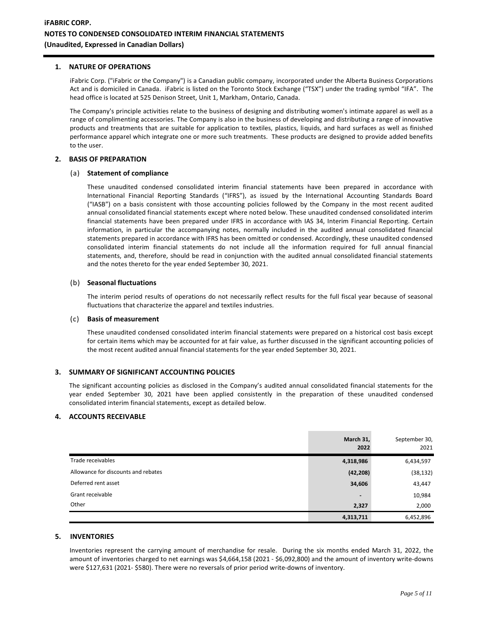#### **1. NATURE OF OPERATIONS**

iFabric Corp. ("iFabric or the Company") is a Canadian public company, incorporated under the Alberta Business Corporations Act and is domiciled in Canada. iFabric is listed on the Toronto Stock Exchange ("TSX") under the trading symbol "IFA". The head office is located at 525 Denison Street, Unit 1, Markham, Ontario, Canada.

The Company's principle activities relate to the business of designing and distributing women's intimate apparel as well as a range of complimenting accessories. The Company is also in the business of developing and distributing a range of innovative products and treatments that are suitable for application to textiles, plastics, liquids, and hard surfaces as well as finished performance apparel which integrate one or more such treatments. These products are designed to provide added benefits to the user.

### **2. BASIS OF PREPARATION**

#### (a) **Statement of compliance**

These unaudited condensed consolidated interim financial statements have been prepared in accordance with International Financial Reporting Standards ("IFRS"), as issued by the International Accounting Standards Board ("IASB") on a basis consistent with those accounting policies followed by the Company in the most recent audited annual consolidated financial statements except where noted below. These unaudited condensed consolidated interim financial statements have been prepared under IFRS in accordance with IAS 34, Interim Financial Reporting. Certain information, in particular the accompanying notes, normally included in the audited annual consolidated financial statements prepared in accordance with IFRS has been omitted or condensed. Accordingly, these unaudited condensed consolidated interim financial statements do not include all the information required for full annual financial statements, and, therefore, should be read in conjunction with the audited annual consolidated financial statements and the notes thereto for the year ended September 30, 2021.

#### (b) **Seasonal fluctuations**

The interim period results of operations do not necessarily reflect results for the full fiscal year because of seasonal fluctuations that characterize the apparel and textiles industries.

#### (c) **Basis of measurement**

These unaudited condensed consolidated interim financial statements were prepared on a historical cost basis except for certain items which may be accounted for at fair value, as further discussed in the significant accounting policies of the most recent audited annual financial statements for the year ended September 30, 2021.

### **3. SUMMARY OF SIGNIFICANT ACCOUNTING POLICIES**

The significant accounting policies as disclosed in the Company's audited annual consolidated financial statements for the year ended September 30, 2021 have been applied consistently in the preparation of these unaudited condensed consolidated interim financial statements, except as detailed below.

#### **4. ACCOUNTS RECEIVABLE**

|                                     | March 31,<br>2022 | September 30,<br>2021 |
|-------------------------------------|-------------------|-----------------------|
| Trade receivables                   | 4,318,986         | 6,434,597             |
| Allowance for discounts and rebates | (42, 208)         | (38, 132)             |
| Deferred rent asset                 | 34,606            | 43,447                |
| Grant receivable                    | $\blacksquare$    | 10,984                |
| Other                               | 2,327             | 2,000                 |
|                                     | 4,313,711         | 6,452,896             |

### **5. INVENTORIES**

Inventories represent the carrying amount of merchandise for resale. During the six months ended March 31, 2022, the amount of inventories charged to net earnings was \$4,664,158 (2021 - \$6,092,800) and the amount of inventory write-downs were \$127,631 (2021- \$580). There were no reversals of prior period write-downs of inventory.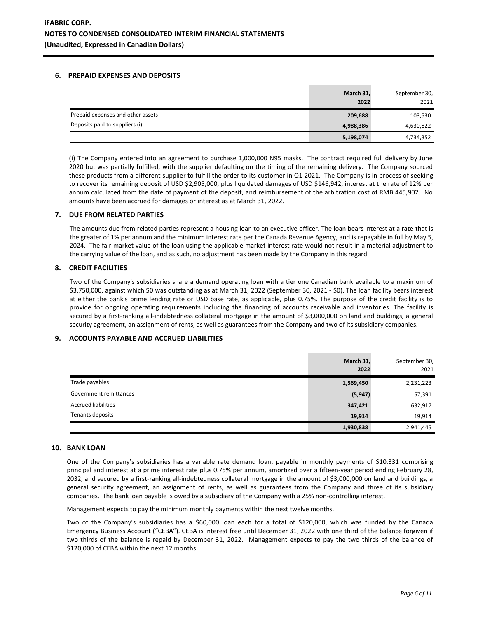## **6. PREPAID EXPENSES AND DEPOSITS**

|                                   | March 31,<br>2022 | September 30,<br>2021 |
|-----------------------------------|-------------------|-----------------------|
| Prepaid expenses and other assets | 209,688           | 103,530               |
| Deposits paid to suppliers (i)    | 4,988,386         | 4,630,822             |
|                                   | 5,198,074         | 4,734,352             |

(i) The Company entered into an agreement to purchase 1,000,000 N95 masks. The contract required full delivery by June 2020 but was partially fulfilled, with the supplier defaulting on the timing of the remaining delivery. The Company sourced these products from a different supplier to fulfill the order to its customer in Q1 2021. The Company is in process of seeking to recover its remaining deposit of USD \$2,905,000, plus liquidated damages of USD \$146,942, interest at the rate of 12% per annum calculated from the date of payment of the deposit, and reimbursement of the arbitration cost of RMB 445,902. No amounts have been accrued for damages or interest as at March 31, 2022.

## **7. DUE FROM RELATED PARTIES**

The amounts due from related parties represent a housing loan to an executive officer. The loan bears interest at a rate that is the greater of 1% per annum and the minimum interest rate per the Canada Revenue Agency, and is repayable in full by May 5, 2024. The fair market value of the loan using the applicable market interest rate would not result in a material adjustment to the carrying value of the loan, and as such, no adjustment has been made by the Company in this regard.

## **8. CREDIT FACILITIES**

Two of the Company's subsidiaries share a demand operating loan with a tier one Canadian bank available to a maximum of \$3,750,000, against which \$0 was outstanding as at March 31, 2022 (September 30, 2021 - \$0). The loan facility bears interest at either the bank's prime lending rate or USD base rate, as applicable, plus 0.75%. The purpose of the credit facility is to provide for ongoing operating requirements including the financing of accounts receivable and inventories. The facility is secured by a first-ranking all-indebtedness collateral mortgage in the amount of \$3,000,000 on land and buildings, a general security agreement, an assignment of rents, as well as guarantees from the Company and two of its subsidiary companies.

### **9. ACCOUNTS PAYABLE AND ACCRUED LIABILITIES**

|                            | March 31,<br>2022 | September 30,<br>2021 |
|----------------------------|-------------------|-----------------------|
| Trade payables             | 1,569,450         | 2,231,223             |
| Government remittances     | (5, 947)          | 57,391                |
| <b>Accrued liabilities</b> | 347,421           | 632,917               |
| Tenants deposits           | 19,914            | 19,914                |
|                            | 1,930,838         | 2,941,445             |

# **10. BANK LOAN**

One of the Company's subsidiaries has a variable rate demand loan, payable in monthly payments of \$10,331 comprising principal and interest at a prime interest rate plus 0.75% per annum, amortized over a fifteen-year period ending February 28, 2032, and secured by a first-ranking all-indebtedness collateral mortgage in the amount of \$3,000,000 on land and buildings, a general security agreement, an assignment of rents, as well as guarantees from the Company and three of its subsidiary companies. The bank loan payable is owed by a subsidiary of the Company with a 25% non-controlling interest.

Management expects to pay the minimum monthly payments within the next twelve months.

Two of the Company's subsidiaries has a \$60,000 loan each for a total of \$120,000, which was funded by the Canada Emergency Business Account ("CEBA"). CEBA is interest free until December 31, 2022 with one third of the balance forgiven if two thirds of the balance is repaid by December 31, 2022. Management expects to pay the two thirds of the balance of \$120,000 of CEBA within the next 12 months.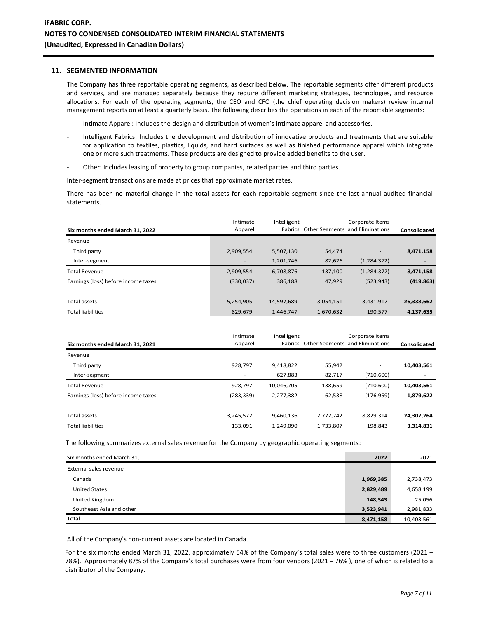#### **11. SEGMENTED INFORMATION**

The Company has three reportable operating segments, as described below. The reportable segments offer different products and services, and are managed separately because they require different marketing strategies, technologies, and resource allocations. For each of the operating segments, the CEO and CFO (the chief operating decision makers) review internal management reports on at least a quarterly basis. The following describes the operations in each of the reportable segments:

- Intimate Apparel: Includes the design and distribution of women's intimate apparel and accessories.
- Intelligent Fabrics: Includes the development and distribution of innovative products and treatments that are suitable for application to textiles, plastics, liquids, and hard surfaces as well as finished performance apparel which integrate one or more such treatments. These products are designed to provide added benefits to the user.
- Other: Includes leasing of property to group companies, related parties and third parties.

Inter-segment transactions are made at prices that approximate market rates.

There has been no material change in the total assets for each reportable segment since the last annual audited financial statements.

| Six months ended March 31, 2022     | Intimate<br>Apparel      | Intelligent |           | Corporate Items<br>Fabrics Other Segments and Eliminations | Consolidated |
|-------------------------------------|--------------------------|-------------|-----------|------------------------------------------------------------|--------------|
|                                     |                          |             |           |                                                            |              |
| Revenue                             |                          |             |           |                                                            |              |
| Third party                         | 2,909,554                | 5,507,130   | 54,474    | -                                                          | 8,471,158    |
| Inter-segment                       | $\overline{\phantom{a}}$ | 1,201,746   | 82,626    | (1, 284, 372)                                              |              |
| <b>Total Revenue</b>                | 2,909,554                | 6,708,876   | 137,100   | (1, 284, 372)                                              | 8,471,158    |
| Earnings (loss) before income taxes | (330,037)                | 386,188     | 47,929    | (523, 943)                                                 | (419, 863)   |
|                                     |                          |             |           |                                                            |              |
| Total assets                        | 5,254,905                | 14,597,689  | 3,054,151 | 3,431,917                                                  | 26,338,662   |
| <b>Total liabilities</b>            | 829,679                  | 1,446,747   | 1,670,632 | 190,577                                                    | 4,137,635    |

| Six months ended March 31, 2021     | Intimate<br>Apparel      | Intelligent | Fabrics Other Segments and Eliminations | Corporate Items | Consolidated |
|-------------------------------------|--------------------------|-------------|-----------------------------------------|-----------------|--------------|
| Revenue                             |                          |             |                                         |                 |              |
| Third party                         | 928,797                  | 9,418,822   | 55,942                                  | ٠               | 10,403,561   |
| Inter-segment                       | $\overline{\phantom{a}}$ | 627,883     | 82,717                                  | (710,600)       |              |
| <b>Total Revenue</b>                | 928,797                  | 10,046,705  | 138,659                                 | (710,600)       | 10,403,561   |
| Earnings (loss) before income taxes | (283, 339)               | 2,277,382   | 62,538                                  | (176, 959)      | 1,879,622    |
|                                     |                          |             |                                         |                 |              |
| Total assets                        | 3,245,572                | 9,460,136   | 2,772,242                               | 8,829,314       | 24,307,264   |
| <b>Total liabilities</b>            | 133,091                  | 1,249,090   | 1,733,807                               | 198,843         | 3,314,831    |

The following summarizes external sales revenue for the Company by geographic operating segments:

| Six months ended March 31, | 2022      | 2021       |
|----------------------------|-----------|------------|
| External sales revenue     |           |            |
| Canada                     | 1,969,385 | 2,738,473  |
| <b>United States</b>       | 2,829,489 | 4,658,199  |
| United Kingdom             | 148,343   | 25,056     |
| Southeast Asia and other   | 3,523,941 | 2,981,833  |
| Total                      | 8,471,158 | 10,403,561 |

All of the Company's non-current assets are located in Canada.

For the six months ended March 31, 2022, approximately 54% of the Company's total sales were to three customers (2021 – 78%). Approximately 87% of the Company's total purchases were from four vendors (2021 – 76% ), one of which is related to a distributor of the Company.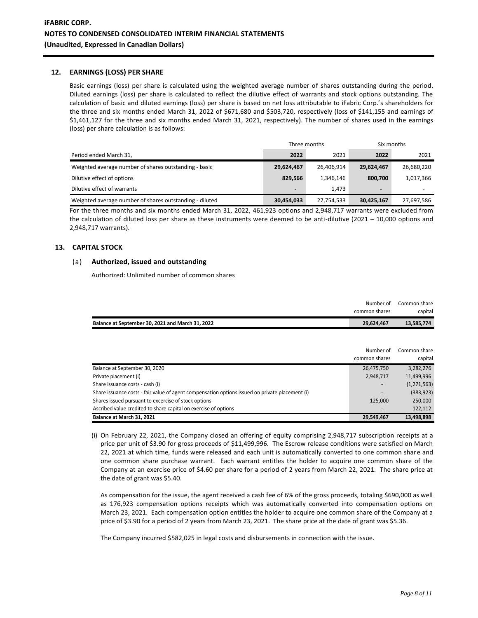## **12. EARNINGS (LOSS) PER SHARE**

Basic earnings (loss) per share is calculated using the weighted average number of shares outstanding during the period. Diluted earnings (loss) per share is calculated to reflect the dilutive effect of warrants and stock options outstanding. The calculation of basic and diluted earnings (loss) per share is based on net loss attributable to iFabric Corp.'s shareholders for the three and six months ended March 31, 2022 of \$671,680 and \$503,720, respectively (loss of \$141,155 and earnings of \$1,461,127 for the three and six months ended March 31, 2021, respectively). The number of shares used in the earnings (loss) per share calculation is as follows:

|                                                         | Three months   |            | Six months     |            |
|---------------------------------------------------------|----------------|------------|----------------|------------|
| Period ended March 31,                                  | 2022           | 2021       | 2022           | 2021       |
| Weighted average number of shares outstanding - basic   | 29,624,467     | 26.406.914 | 29,624,467     | 26,680,220 |
| Dilutive effect of options                              | 829.566        | 1,346,146  | 800.700        | 1,017,366  |
| Dilutive effect of warrants                             | $\blacksquare$ | 1.473      | $\blacksquare$ |            |
| Weighted average number of shares outstanding - diluted | 30,454,033     | 27,754,533 | 30,425,167     | 27,697,586 |

For the three months and six months ended March 31, 2022, 461,923 options and 2,948,717 warrants were excluded from the calculation of diluted loss per share as these instruments were deemed to be anti-dilutive (2021 – 10,000 options and 2,948,717 warrants).

## **13. CAPITAL STOCK**

## (a) **Authorized, issued and outstanding**

Authorized: Unlimited number of common shares

|                                                  | Number of     | Common share |
|--------------------------------------------------|---------------|--------------|
|                                                  | common shares | capital      |
| Balance at September 30, 2021 and March 31, 2022 | 29,624,467    | 13,585,774   |

|                                                                                                 | Number of     | Common share  |
|-------------------------------------------------------------------------------------------------|---------------|---------------|
|                                                                                                 | common shares | capital       |
| Balance at September 30, 2020                                                                   | 26,475,750    | 3,282,276     |
| Private placement (i)                                                                           | 2,948,717     | 11,499,996    |
| Share issuance costs - cash (i)                                                                 |               | (1, 271, 563) |
| Share issuance costs - fair value of agent compensation options issued on private placement (i) |               | (383, 923)    |
| Shares issued pursuant to excercise of stock options                                            | 125,000       | 250,000       |
| Ascribed value credited to share capital on exercise of options                                 |               | 122,112       |
| Balance at March 31, 2021                                                                       | 29.549.467    | 13.498.898    |

(i) On February 22, 2021, the Company closed an offering of equity comprising 2,948,717 subscription receipts at a price per unit of \$3.90 for gross proceeds of \$11,499,996. The Escrow release conditions were satisfied on March 22, 2021 at which time, funds were released and each unit is automatically converted to one common share and one common share purchase warrant. Each warrant entitles the holder to acquire one common share of the Company at an exercise price of \$4.60 per share for a period of 2 years from March 22, 2021. The share price at the date of grant was \$5.40.

As compensation for the issue, the agent received a cash fee of 6% of the gross proceeds, totaling \$690,000 as well as 176,923 compensation options receipts which was automatically converted into compensation options on March 23, 2021. Each compensation option entitles the holder to acquire one common share of the Company at a price of \$3.90 for a period of 2 years from March 23, 2021. The share price at the date of grant was \$5.36.

The Company incurred \$582,025 in legal costs and disbursements in connection with the issue.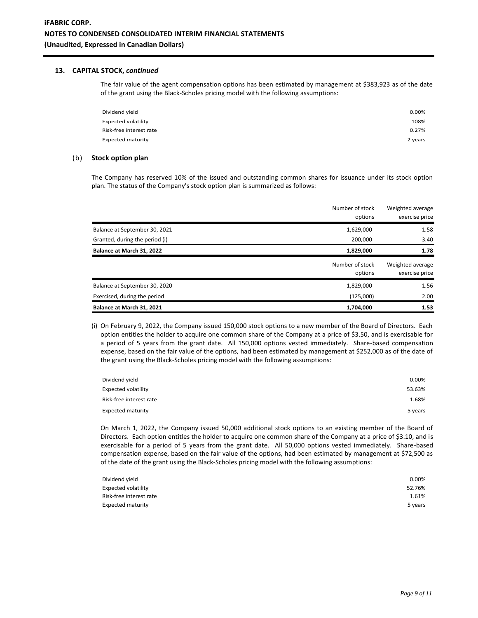### **13. CAPITAL STOCK,** *continued*

The fair value of the agent compensation options has been estimated by management at \$383,923 as of the date of the grant using the Black-Scholes pricing model with the following assumptions:

| Dividend yield          | 0.00%   |
|-------------------------|---------|
| Expected volatility     | 108%    |
| Risk-free interest rate | 0.27%   |
| Expected maturity       | 2 years |

### (b) **Stock option plan**

The Company has reserved 10% of the issued and outstanding common shares for issuance under its stock option plan. The status of the Company's stock option plan is summarized as follows:

|                                | Number of stock            | Weighted average                   |
|--------------------------------|----------------------------|------------------------------------|
|                                | options                    | exercise price                     |
| Balance at September 30, 2021  | 1,629,000                  | 1.58                               |
| Granted, during the period (i) | 200.000                    | 3.40                               |
| Balance at March 31, 2022      | 1,829,000                  | 1.78                               |
|                                | Number of stock<br>options | Weighted average<br>exercise price |
| Balance at September 30, 2020  | 1,829,000                  | 1.56                               |
|                                |                            |                                    |
| Exercised, during the period   | (125,000)                  | 2.00                               |

(i) On February 9, 2022, the Company issued 150,000 stock options to a new member of the Board of Directors. Each option entitles the holder to acquire one common share of the Company at a price of \$3.50, and is exercisable for a period of 5 years from the grant date. All 150,000 options vested immediately. Share-based compensation expense, based on the fair value of the options, had been estimated by management at \$252,000 as of the date of the grant using the Black-Scholes pricing model with the following assumptions:

| Dividend yield             | 0.00%   |
|----------------------------|---------|
| <b>Expected volatility</b> | 53.63%  |
| Risk-free interest rate    | 1.68%   |
| <b>Expected maturity</b>   | 5 years |

On March 1, 2022, the Company issued 50,000 additional stock options to an existing member of the Board of Directors. Each option entitles the holder to acquire one common share of the Company at a price of \$3.10, and is exercisable for a period of 5 years from the grant date. All 50,000 options vested immediately. Share-based compensation expense, based on the fair value of the options, had been estimated by management at \$72,500 as of the date of the grant using the Black-Scholes pricing model with the following assumptions:

| Dividend yield           | 0.00%   |
|--------------------------|---------|
| Expected volatility      | 52.76%  |
| Risk-free interest rate  | 1.61%   |
| <b>Expected maturity</b> | 5 years |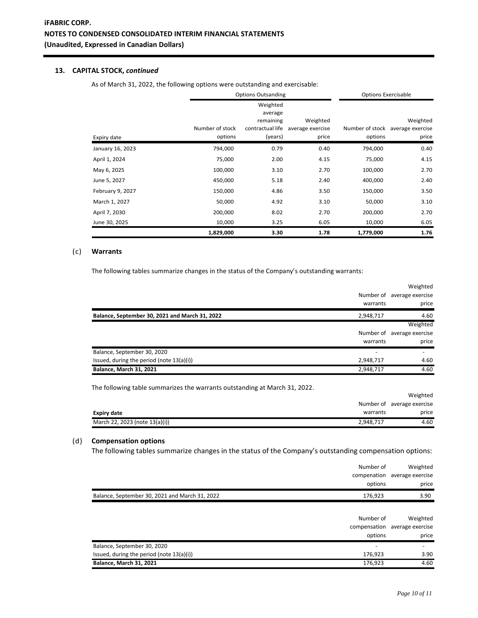# **13. CAPITAL STOCK,** *continued*

As of March 31, 2022, the following options were outstanding and exercisable:

|                  | <b>Options Outsanding</b>  |                                                                 |                                       | <b>Options Exercisable</b> |                                                       |
|------------------|----------------------------|-----------------------------------------------------------------|---------------------------------------|----------------------------|-------------------------------------------------------|
| Expiry date      | Number of stock<br>options | Weighted<br>average<br>remaining<br>contractual life<br>(years) | Weighted<br>average exercise<br>price | options                    | Weighted<br>Number of stock average exercise<br>price |
| January 16, 2023 | 794,000                    | 0.79                                                            | 0.40                                  | 794,000                    | 0.40                                                  |
| April 1, 2024    | 75,000                     | 2.00                                                            | 4.15                                  | 75,000                     | 4.15                                                  |
| May 6, 2025      | 100,000                    | 3.10                                                            | 2.70                                  | 100,000                    | 2.70                                                  |
| June 5, 2027     | 450,000                    | 5.18                                                            | 2.40                                  | 400,000                    | 2.40                                                  |
| February 9, 2027 | 150,000                    | 4.86                                                            | 3.50                                  | 150,000                    | 3.50                                                  |
| March 1, 2027    | 50,000                     | 4.92                                                            | 3.10                                  | 50,000                     | 3.10                                                  |
| April 7, 2030    | 200,000                    | 8.02                                                            | 2.70                                  | 200,000                    | 2.70                                                  |
| June 30, 2025    | 10,000                     | 3.25                                                            | 6.05                                  | 10,000                     | 6.05                                                  |
|                  | 1,829,000                  | 3.30                                                            | 1.78                                  | 1,779,000                  | 1.76                                                  |

### (c) **Warrants**

The following tables summarize changes in the status of the Company's outstanding warrants:

|                                                                            |           | Weighted                   |
|----------------------------------------------------------------------------|-----------|----------------------------|
|                                                                            |           | Number of average exercise |
|                                                                            | warrants  | price                      |
| Balance, September 30, 2021 and March 31, 2022                             | 2,948,717 | 4.60                       |
|                                                                            |           | Weighted                   |
|                                                                            |           | Number of average exercise |
|                                                                            | warrants  | price                      |
| Balance, September 30, 2020                                                |           |                            |
| Issued, during the period (note 13(a)(i))                                  | 2,948,717 | 4.60                       |
| <b>Balance, March 31, 2021</b>                                             | 2,948,717 | 4.60                       |
| The following table summarizes the warrants outstanding at March 31, 2022. |           |                            |
|                                                                            |           | Weighted                   |
|                                                                            |           | Number of average exercise |
| <b>Expiry date</b>                                                         | warrants  | price                      |

## (d) **Compensation options**

The following tables summarize changes in the status of the Company's outstanding compensation options:

March 22, 2023 (note 13(a)(i)) 2,948,717 4.60

|                                                | Number of<br>options | Weighted<br>compenation average exercise<br>price  |
|------------------------------------------------|----------------------|----------------------------------------------------|
| Balance, September 30, 2021 and March 31, 2022 | 176,923              | 3.90                                               |
|                                                | Number of<br>options | Weighted<br>compensation average exercise<br>price |
| Balance, September 30, 2020                    |                      |                                                    |
| Issued, during the period (note 13(a)(i))      | 176,923              | 3.90                                               |
| <b>Balance, March 31, 2021</b>                 | 176,923              | 4.60                                               |
|                                                |                      |                                                    |